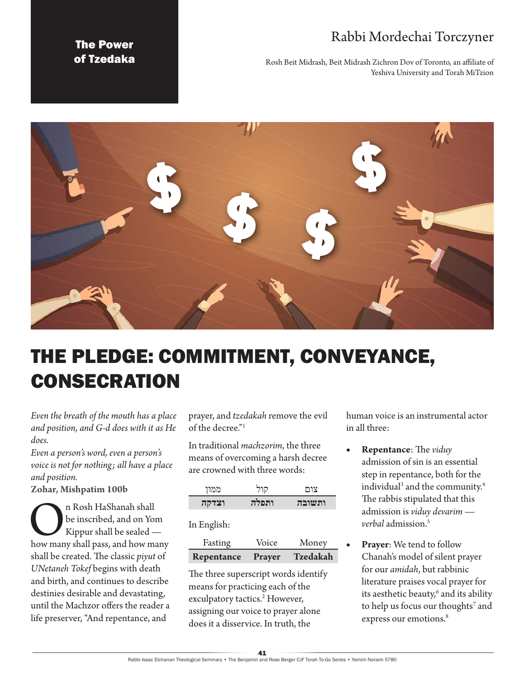# Rabbi Mordechai Torczyner

The Power of Tzedaka

Rosh Beit Midrash, Beit Midrash Zichron Dov of Toronto, an affiliate of Yeshiva University and Torah MiTzion



# THE PLEDGE: COMMITMENT, CONVEYANCE, **CONSECRATION**

*Even the breath of the mouth has a place and position, and G-d does with it as He does.* 

*Even a person's word, even a person's voice is not for nothing; all have a place and position.*

**Zohar, Mishpatim 100b**

n Rosh HaShanah shall<br>be inscribed, and on Yom<br>Kippur shall be sealed —<br>how many shall pass, and how many be inscribed, and on Yom Kippur shall be sealed shall be created. The classic *piyut* of *UNetaneh Tokef* begins with death and birth, and continues to describe destinies desirable and devastating, until the Machzor offers the reader a life preserver, "And repentance, and

prayer, and *tzedakah* remove the evil of the decree."1

In traditional *machzorim*, the three means of overcoming a harsh decree are crowned with three words:

| ממוז  | הור   | צות     |
|-------|-------|---------|
| וצדקה | ותפלה | 7717711 |

#### In English:

| Fasting    | Voice  | Money    |
|------------|--------|----------|
| Repentance | Prayer | Tzedakah |

The three superscript words identify means for practicing each of the exculpatory tactics.<sup>2</sup> However, assigning our voice to prayer alone does it a disservice. In truth, the

human voice is an instrumental actor in all three:

- • **Repentance**: The *viduy* admission of sin is an essential step in repentance, both for the individual<sup>3</sup> and the community.<sup>4</sup> The rabbis stipulated that this admission is *viduy devarim verbal* admission<sup>5</sup>
- • **Prayer**: We tend to follow Chanah's model of silent prayer for our *amidah*, but rabbinic literature praises vocal prayer for its aesthetic beauty,<sup>6</sup> and its ability to help us focus our thoughts<sup>7</sup> and express our emotions.<sup>8</sup>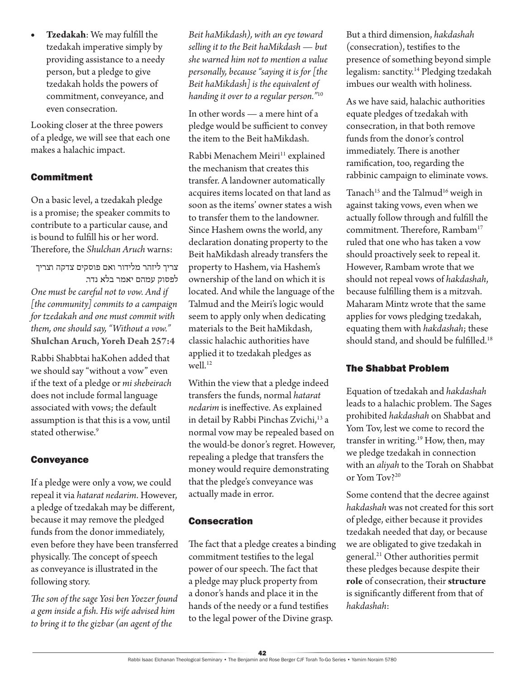Tzedakah: We may fulfill the tzedakah imperative simply by providing assistance to a needy person, but a pledge to give tzedakah holds the powers of commitment, conveyance, and even consecration.

Looking closer at the three powers of a pledge, we will see that each one makes a halachic impact.

## Commitment

On a basic level, a tzedakah pledge is a promise; the speaker commits to contribute to a particular cause, and is bound to fulfill his or her word. Therefore, the *Shulchan Aruch* warns:

צריך ליזהר מלידור ואם פוסקים צדקה וצריך לפסוק עמהם יאמר בלא נדר. *One must be careful not to vow. And if [the community] commits to a campaign for tzedakah and one must commit with them, one should say, "Without a vow."* **Shulchan Aruch, Yoreh Deah 257:4**

Rabbi Shabbtai haKohen added that we should say "without a vow" even if the text of a pledge or *mi shebeirach*  does not include formal language associated with vows; the default assumption is that this is a vow, until stated otherwise.9

### Conveyance

If a pledge were only a vow, we could repeal it via *hatarat nedarim*. However, a pledge of tzedakah may be different, because it may remove the pledged funds from the donor immediately, even before they have been transferred physically. The concept of speech as conveyance is illustrated in the following story.

*The son of the sage Yosi ben Yoezer found a gem inside a fish. His wife advised him to bring it to the gizbar (an agent of the* 

*Beit haMikdash), with an eye toward selling it to the Beit haMikdash — but she warned him not to mention a value personally, because "saying it is for [the Beit haMikdash] is the equivalent of handing it over to a regular person."*<sup>10</sup>

In other words — a mere hint of a pledge would be sufficient to convey the item to the Beit haMikdash.

Rabbi Menachem Meiri<sup>11</sup> explained the mechanism that creates this transfer. A landowner automatically acquires items located on that land as soon as the items' owner states a wish to transfer them to the landowner. Since Hashem owns the world, any declaration donating property to the Beit haMikdash already transfers the property to Hashem, via Hashem's ownership of the land on which it is located. And while the language of the Talmud and the Meiri's logic would seem to apply only when dedicating materials to the Beit haMikdash, classic halachic authorities have applied it to tzedakah pledges as well.<sup>12</sup>

Within the view that a pledge indeed transfers the funds, normal *hatarat nedarim* is ineffective. As explained in detail by Rabbi Pinchas Zvichi,<sup>13</sup> a normal vow may be repealed based on the would-be donor's regret. However, repealing a pledge that transfers the money would require demonstrating that the pledge's conveyance was actually made in error.

### Consecration

The fact that a pledge creates a binding commitment testifies to the legal power of our speech. The fact that a pledge may pluck property from a donor's hands and place it in the hands of the needy or a fund testifies to the legal power of the Divine grasp.

But a third dimension, *hakdashah*  (consecration), testifies to the presence of something beyond simple legalism: sanctity.14 Pledging tzedakah imbues our wealth with holiness.

As we have said, halachic authorities equate pledges of tzedakah with consecration, in that both remove funds from the donor's control immediately. There is another ramification, too, regarding the rabbinic campaign to eliminate vows.

Tanach<sup>15</sup> and the Talmud<sup>16</sup> weigh in against taking vows, even when we actually follow through and fulfill the commitment. Therefore, Rambam<sup>17</sup> ruled that one who has taken a vow should proactively seek to repeal it. However, Rambam wrote that we should not repeal vows of *hakdashah*, because fulfilling them is a mitzvah. Maharam Mintz wrote that the same applies for vows pledging tzedakah, equating them with *hakdashah*; these should stand, and should be fulfilled.18

### The Shabbat Problem

Equation of tzedakah and *hakdashah*  leads to a halachic problem. The Sages prohibited *hakdashah* on Shabbat and Yom Tov, lest we come to record the transfer in writing.<sup>19</sup> How, then, may we pledge tzedakah in connection with an *aliyah* to the Torah on Shabbat or Yom Tov?20

Some contend that the decree against *hakdashah* was not created for this sort of pledge, either because it provides tzedakah needed that day, or because we are obligated to give tzedakah in general.21 Other authorities permit these pledges because despite their **role** of consecration, their **structure** is significantly different from that of *hakdashah*: